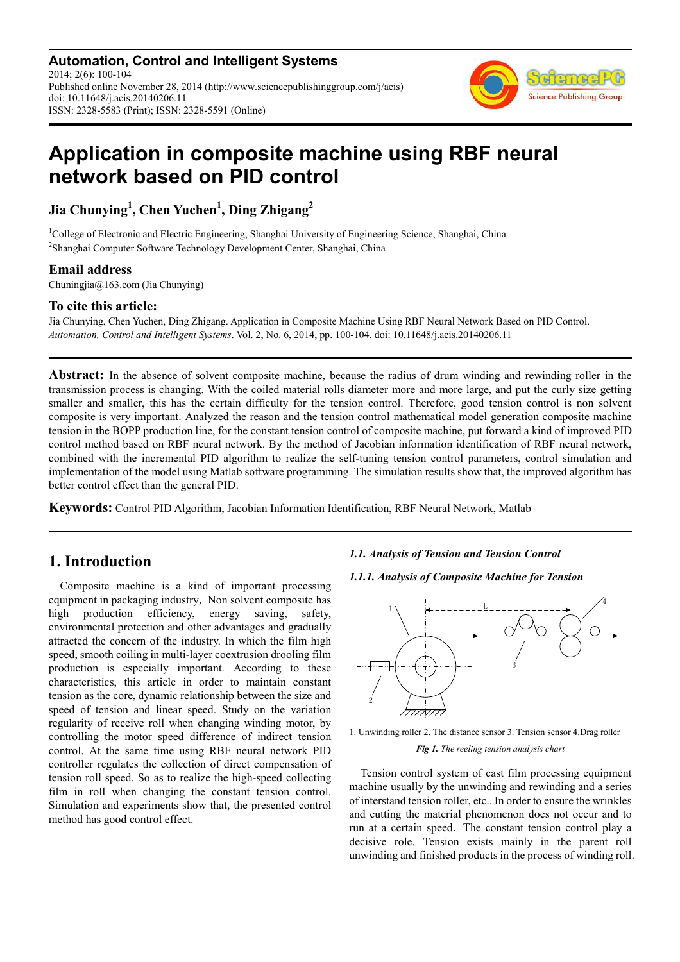**Automation, Control and Intelligent Systems** 2014; 2(6): 100-104 Published online November 28, 2014 (http://www.sciencepublishinggroup.com/j/acis) doi: 10.11648/j.acis.20140206.11 ISSN: 2328-5583 (Print); ISSN: 2328-5591 (Online)



# **Application in composite machine using RBF neural network based on PID control**

**Jia Chunying<sup>1</sup> , Chen Yuchen<sup>1</sup> , Ding Zhigang<sup>2</sup>**

<sup>1</sup>College of Electronic and Electric Engineering, Shanghai University of Engineering Science, Shanghai, China <sup>2</sup>Shanghai Computer Software Technology Development Center, Shanghai, China

### **Email address**

Chuningjia@163.com (Jia Chunying)

### **To cite this article:**

Jia Chunying, Chen Yuchen, Ding Zhigang. Application in Composite Machine Using RBF Neural Network Based on PID Control. *Automation, Control and Intelligent Systems*. Vol. 2, No. 6, 2014, pp. 100-104. doi: 10.11648/j.acis.20140206.11

**Abstract:** In the absence of solvent composite machine, because the radius of drum winding and rewinding roller in the transmission process is changing. With the coiled material rolls diameter more and more large, and put the curly size getting smaller and smaller, this has the certain difficulty for the tension control. Therefore, good tension control is non solvent composite is very important. Analyzed the reason and the tension control mathematical model generation composite machine tension in the BOPP production line, for the constant tension control of composite machine, put forward a kind of improved PID control method based on RBF neural network. By the method of Jacobian information identification of RBF neural network, combined with the incremental PID algorithm to realize the self-tuning tension control parameters, control simulation and implementation of the model using Matlab software programming. The simulation results show that, the improved algorithm has better control effect than the general PID.

**Keywords:** Control PID Algorithm, Jacobian Information Identification, RBF Neural Network, Matlab

# **1. Introduction**

Composite machine is a kind of important processing equipment in packaging industry, Non solvent composite has high production efficiency, energy saving, safety, environmental protection and other advantages and gradually attracted the concern of the industry. In which the film high speed, smooth coiling in multi-layer coextrusion drooling film production is especially important. According to these characteristics, this article in order to maintain constant tension as the core, dynamic relationship between the size and speed of tension and linear speed. Study on the variation regularity of receive roll when changing winding motor, by controlling the motor speed difference of indirect tension control. At the same time using RBF neural network PID controller regulates the collection of direct compensation of tension roll speed. So as to realize the high-speed collecting film in roll when changing the constant tension control. Simulation and experiments show that, the presented control method has good control effect.

### *1.1. Analysis of Tension and Tension Control*

*1.1.1. Analysis of Composite Machine for Tension* 



1. Unwinding roller 2. The distance sensor 3. Tension sensor 4.Drag roller *Fig 1. The reeling tension analysis chart* 

Tension control system of cast film processing equipment machine usually by the unwinding and rewinding and a series of interstand tension roller, etc.. In order to ensure the wrinkles and cutting the material phenomenon does not occur and to run at a certain speed. The constant tension control play a decisive role. Tension exists mainly in the parent roll unwinding and finished products in the process of winding roll.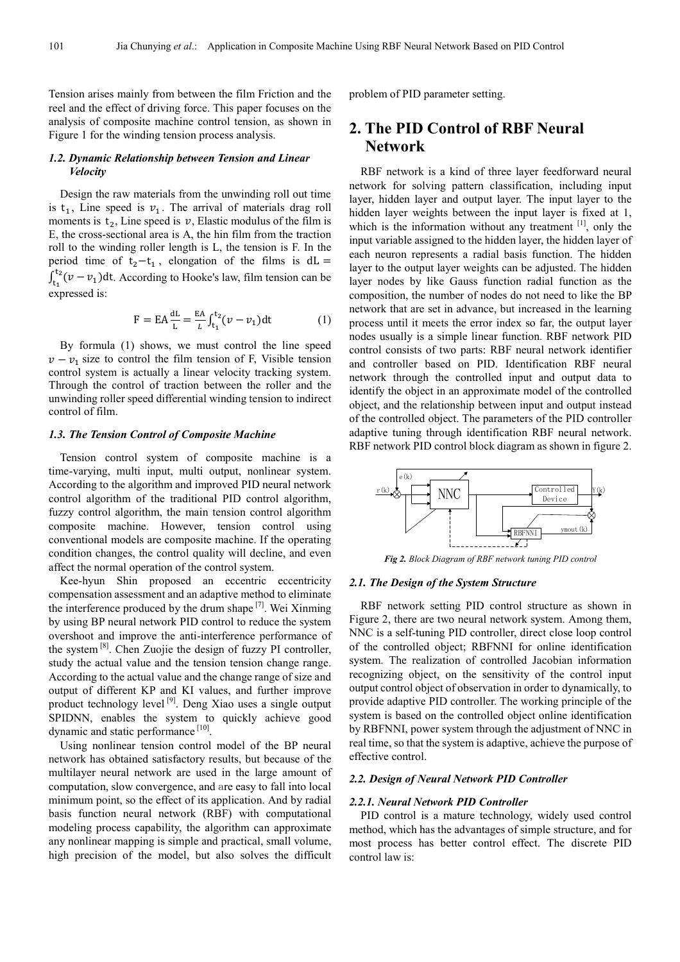Tension arises mainly from between the film Friction and the reel and the effect of driving force. This paper focuses on the analysis of composite machine control tension, as shown in Figure 1 for the winding tension process analysis.

#### *1.2. Dynamic Relationship between Tension and Linear Velocity*

Design the raw materials from the unwinding roll out time is  $t_1$ , Line speed is  $v_1$ . The arrival of materials drag roll moments is  $t_2$ , Line speed is  $\nu$ , Elastic modulus of the film is E, the cross-sectional area is A, the hin film from the traction roll to the winding roller length is L, the tension is F. In the period time of  $t_2-t_1$ , elongation of the films is dL =  $\int_{t_1}^{t_2} (\nu - \nu_1) dt$ . According to Hooke's law, film tension can be expressed is:

$$
F = EA_{L} \frac{dL}{L} = \frac{EA}{L} \int_{t_1}^{t_2} (\nu - \nu_1) dt
$$
 (1)

By formula (1) shows, we must control the line speed  $v - v_1$  size to control the film tension of F, Visible tension control system is actually a linear velocity tracking system. Through the control of traction between the roller and the unwinding roller speed differential winding tension to indirect control of film.

#### *1.3. The Tension Control of Composite Machine*

Tension control system of composite machine is a time-varying, multi input, multi output, nonlinear system. According to the algorithm and improved PID neural network control algorithm of the traditional PID control algorithm, fuzzy control algorithm, the main tension control algorithm composite machine. However, tension control using conventional models are composite machine. If the operating condition changes, the control quality will decline, and even affect the normal operation of the control system.

Kee-hyun Shin proposed an eccentric eccentricity compensation assessment and an adaptive method to eliminate the interference produced by the drum shape  $[7]$ . Wei Xinming by using BP neural network PID control to reduce the system overshoot and improve the anti-interference performance of the system [8]. Chen Zuojie the design of fuzzy PI controller, study the actual value and the tension tension change range. According to the actual value and the change range of size and output of different KP and KI values, and further improve product technology level [9]. Deng Xiao uses a single output SPIDNN, enables the system to quickly achieve good dynamic and static performance<sup>[10]</sup>.

Using nonlinear tension control model of the BP neural network has obtained satisfactory results, but because of the multilayer neural network are used in the large amount of computation, slow convergence, and are easy to fall into local minimum point, so the effect of its application. And by radial basis function neural network (RBF) with computational modeling process capability, the algorithm can approximate any nonlinear mapping is simple and practical, small volume, high precision of the model, but also solves the difficult

problem of PID parameter setting.

# **2. The PID Control of RBF Neural Network**

RBF network is a kind of three layer feedforward neural network for solving pattern classification, including input layer, hidden layer and output layer. The input layer to the hidden layer weights between the input layer is fixed at 1, which is the information without any treatment [1], only the input variable assigned to the hidden layer, the hidden layer of each neuron represents a radial basis function. The hidden layer to the output layer weights can be adjusted. The hidden layer nodes by like Gauss function radial function as the composition, the number of nodes do not need to like the BP network that are set in advance, but increased in the learning process until it meets the error index so far, the output layer nodes usually is a simple linear function. RBF network PID control consists of two parts: RBF neural network identifier and controller based on PID. Identification RBF neural network through the controlled input and output data to identify the object in an approximate model of the controlled object, and the relationship between input and output instead of the controlled object. The parameters of the PID controller adaptive tuning through identification RBF neural network. RBF network PID control block diagram as shown in figure 2.



*Fig 2. Block Diagram of RBF network tuning PID control* 

#### *2.1. The Design of the System Structure*

RBF network setting PID control structure as shown in Figure 2, there are two neural network system. Among them, NNC is a self-tuning PID controller, direct close loop control of the controlled object; RBFNNI for online identification system. The realization of controlled Jacobian information recognizing object, on the sensitivity of the control input output control object of observation in order to dynamically, to provide adaptive PID controller. The working principle of the system is based on the controlled object online identification by RBFNNI, power system through the adjustment of NNC in real time, so that the system is adaptive, achieve the purpose of effective control.

#### *2.2. Design of Neural Network PID Controller*

#### *2.2.1. Neural Network PID Controller*

PID control is a mature technology, widely used control method, which has the advantages of simple structure, and for most process has better control effect. The discrete PID control law is: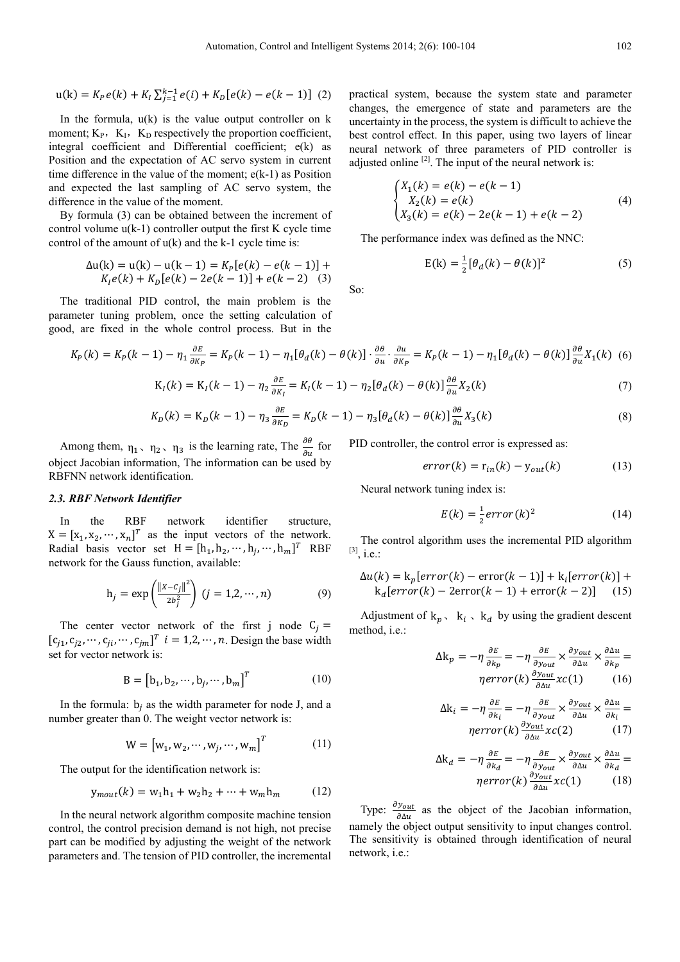$$
u(k) = K_p e(k) + K_l \sum_{j=1}^{k-1} e(i) + K_p [e(k) - e(k-1)] \tag{2}
$$

In the formula,  $u(k)$  is the value output controller on k moment;  $K_P$ ,  $K_I$ ,  $K_D$  respectively the proportion coefficient, integral coefficient and Differential coefficient; e(k) as Position and the expectation of AC servo system in current time difference in the value of the moment; e(k-1) as Position and expected the last sampling of AC servo system, the difference in the value of the moment.

By formula (3) can be obtained between the increment of control volume  $u(k-1)$  controller output the first K cycle time control of the amount of  $u(k)$  and the k-1 cycle time is:

$$
\Delta u(k) = u(k) - u(k-1) = K_P[e(k) - e(k-1)] + K_Ie(k) + K_D[e(k) - 2e(k-1)] + e(k-2)
$$
 (3)

The traditional PID control, the main problem is the parameter tuning problem, once the setting calculation of good, are fixed in the whole control process. But in the

practical system, because the system state and parameter changes, the emergence of state and parameters are the uncertainty in the process, the system is difficult to achieve the best control effect. In this paper, using two layers of linear neural network of three parameters of PID controller is adjusted online  $[2]$ . The input of the neural network is:

$$
\begin{cases}\nX_1(k) = e(k) - e(k-1) \\
X_2(k) = e(k) \\
X_3(k) = e(k) - 2e(k-1) + e(k-2)\n\end{cases}
$$
\n(4)

The performance index was defined as the NNC:

$$
E(k) = \frac{1}{2} [\theta_d(k) - \theta(k)]^2
$$
 (5)

So:

$$
K_P(k) = K_P(k-1) - \eta_1 \frac{\partial E}{\partial K_P} = K_P(k-1) - \eta_1[\theta_d(k) - \theta(k)] \cdot \frac{\partial \theta}{\partial u} \cdot \frac{\partial u}{\partial K_P} = K_P(k-1) - \eta_1[\theta_d(k) - \theta(k)] \frac{\partial \theta}{\partial u} X_1(k)
$$
 (6)

$$
K_I(k) = K_I(k-1) - \eta_2 \frac{\partial E}{\partial K_I} = K_I(k-1) - \eta_2[\theta_d(k) - \theta(k)] \frac{\partial \theta}{\partial u} X_2(k)
$$
\n
$$
\tag{7}
$$

$$
K_D(k) = K_D(k-1) - \eta_3 \frac{\partial E}{\partial K_D} = K_D(k-1) - \eta_3 [\theta_d(k) - \theta(k)] \frac{\partial \theta}{\partial u} X_3(k)
$$
\n
$$
(8)
$$

Among them,  $\eta_1$ ,  $\eta_2$ ,  $\eta_3$  is the learning rate, The  $\frac{\partial \theta}{\partial u}$  for object Jacobian information, The information can be used by RBFNN network identification.

PID controller, the control error is expressed as:

$$
error(k) = r_{in}(k) - y_{out}(k)
$$
 (13)

Neural network tuning index is:

$$
E(k) = \frac{1}{2} \operatorname{error}(k)^2 \tag{14}
$$

The control algorithm uses the incremental PID algorithm [3], *i.e.*:

$$
\Delta u(k) = k_p[error(k) - error(k-1)] + k_i[error(k)] +
$$
  

$$
k_d[error(k) - 2error(k-1) + error(k-2)]
$$
 (15)

Adjustment of  $k_p$ ,  $k_i$ ,  $k_d$  by using the gradient descent method, i.e.:

$$
\Delta k_p = -\eta \frac{\partial E}{\partial k_p} = -\eta \frac{\partial E}{\partial y_{out}} \times \frac{\partial y_{out}}{\partial \Delta u} \times \frac{\partial \Delta u}{\partial k_p} =
$$
  

$$
\eta \text{error}(k) \frac{\partial y_{out}}{\partial \Delta u} \chi(c(1)) \tag{16}
$$

$$
\Delta k_i = -\eta \frac{\partial E}{\partial k_i} = -\eta \frac{\partial E}{\partial y_{out}} \times \frac{\partial y_{out}}{\partial \Delta u} \times \frac{\partial \Delta u}{\partial k_i} =
$$
  

$$
\eta \text{error}(k) \frac{\partial y_{out}}{\partial \Delta u} \chi(c(2)) \tag{17}
$$

$$
\Delta k_d = -\eta \frac{\partial E}{\partial k_d} = -\eta \frac{\partial E}{\partial y_{out}} \times \frac{\partial y_{out}}{\partial \Delta u} \times \frac{\partial \Delta u}{\partial k_d} =
$$
  

$$
\eta error(k) \frac{\partial y_{out}}{\partial \Delta u} xc(1)
$$
 (18)

Type:  $\frac{\partial y_{out}}{\partial \Delta u}$  as the object of the Jacobian information, namely the object output sensitivity to input changes control. The sensitivity is obtained through identification of neural network, i.e.:

#### *2.3. RBF Network Identifier*

In the RBF network identifier structure,  $X = [x_1, x_2, \dots, x_n]^T$  as the input vectors of the network. Radial basis vector set  $H = [h_1, h_2, \dots, h_j, \dots, h_m]^T$  RBF network for the Gauss function, available:

$$
h_j = \exp\left(\frac{\|x - c_j\|^2}{2b_j^2}\right) (j = 1, 2, \cdots, n)
$$
 (9)

The center vector network of the first j node  $C_i =$  $[c_{j1}, c_{j2}, \cdots, c_{ji}, \cdots, c_{jm}]^T$   $i = 1, 2, \cdots, n$ . Design the base width set for vector network is:

$$
\mathbf{B} = \begin{bmatrix} \mathbf{b}_1, \mathbf{b}_2, \cdots, \mathbf{b}_j, \cdots, \mathbf{b}_m \end{bmatrix}^T
$$
 (10)

In the formula:  $b_i$  as the width parameter for node J, and a number greater than 0. The weight vector network is:

$$
\mathbf{W} = \begin{bmatrix} \mathbf{w}_1, \mathbf{w}_2, \cdots, \mathbf{w}_j, \cdots, \mathbf{w}_m \end{bmatrix}^T \tag{11}
$$

The output for the identification network is:

$$
y_{mout}(k) = w_1 h_1 + w_2 h_2 + \dots + w_m h_m \tag{12}
$$

In the neural network algorithm composite machine tension control, the control precision demand is not high, not precise part can be modified by adjusting the weight of the network parameters and. The tension of PID controller, the incremental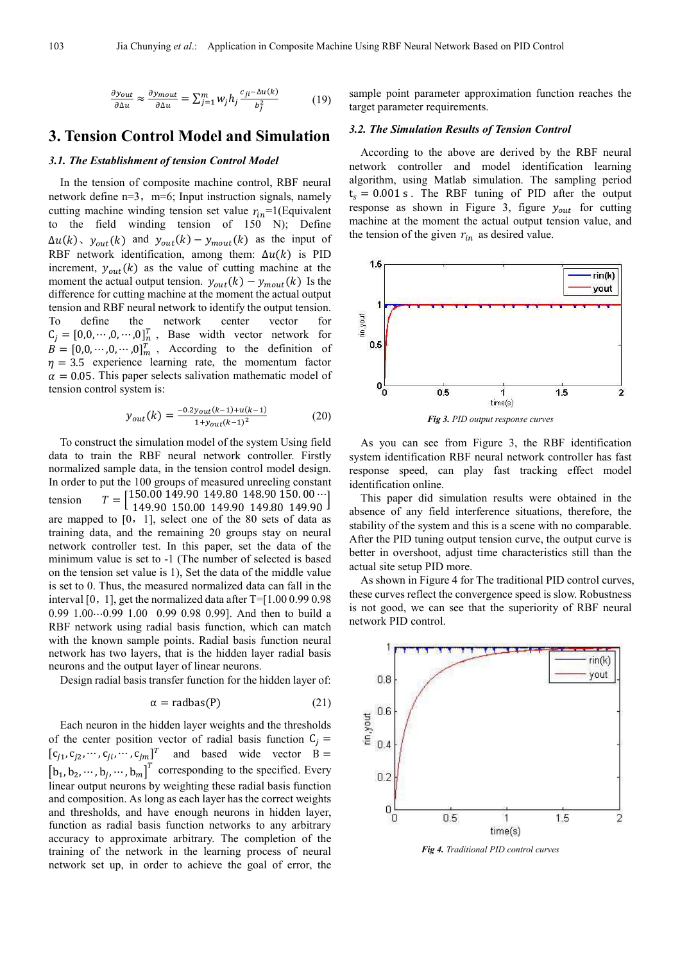$$
\frac{\partial y_{out}}{\partial \Delta u} \approx \frac{\partial y_{mout}}{\partial \Delta u} = \sum_{j=1}^{m} w_j h_j \frac{c_{ji} - \Delta u(k)}{b_j^2}
$$
(19)

### **3. Tension Control Model and Simulation**

#### *3.1. The Establishment of tension Control Model*

In the tension of composite machine control, RBF neural network define  $n=3$ ,  $m=6$ ; Input instruction signals, namely cutting machine winding tension set value  $r_{in}$ =1(Equivalent to the field winding tension of 150 N); Define the field winding tension of 150 N); Define  $\Delta u(k)$ ,  $y_{out}(k)$  and  $y_{out}(k) - y_{mouth}(k)$  as the input of RBF network identification, among them:  $\Delta u(k)$  is PID increment,  $y_{out}(k)$  as the value of cutting machine at the moment the actual output tension.  $y_{out}(k) - y_{mouth}(k)$  Is the difference for cutting machine at the moment the actual output tension and RBF neural network to identify the output tension. To define the network center vector for  $C_j = [0, 0, \dots, 0, \dots, 0]^T_n$ , Base width vector network for  $B = [0,0,\dots,0,\dots,0]_m^T$ , According to the definition of  $\eta = 3.5$  experience learning rate, the momentum factor  $\alpha = 0.05$ . This paper selects salivation mathematic model of tension control system is:

$$
y_{out}(k) = \frac{-0.2y_{out}(k-1) + u(k-1)}{1 + y_{out}(k-1)^2}
$$
 (20)

To construct the simulation model of the system Using field data to train the RBF neural network controller. Firstly normalized sample data, in the tension control model design. In order to put the 100 groups of measured unreeling constant tension  $T = \begin{bmatrix} 150.00 & 149.90 & 149.80 & 148.90 & 150.00 & \cdots \\ 149.90 & 150.00 & 149.90 & 149.80 & 149.90 \end{bmatrix}$ are mapped to [0,1], select one of the 80 sets of data as training data, and the remaining 20 groups stay on neural network controller test. In this paper, set the data of the minimum value is set to -1 (The number of selected is based on the tension set value is 1), Set the data of the middle value is set to 0. Thus, the measured normalized data can fall in the interval  $[0, 1]$ , get the normalized data after T= $[1.00 0.99 0.98$ 0.99 1.00⋯0.99 1.00 0.99 0.98 0.99]. And then to build a RBF network using radial basis function, which can match with the known sample points. Radial basis function neural network has two layers, that is the hidden layer radial basis neurons and the output layer of linear neurons.

Design radial basis transfer function for the hidden layer of:

$$
\alpha = \text{radbas}(P) \tag{21}
$$

Each neuron in the hidden layer weights and the thresholds of the center position vector of radial basis function  $C_i =$  $[c_{j1}, c_{j2}, \cdots, c_{ji}, \cdots, c_{jm}]^T$  and based wide vector  $B =$  $\begin{bmatrix} b_1, b_2, \cdots, b_j, \cdots, b_m \end{bmatrix}^T$  corresponding to the specified. Every linear output neurons by weighting these radial basis function and composition. As long as each layer has the correct weights and thresholds, and have enough neurons in hidden layer, function as radial basis function networks to any arbitrary accuracy to approximate arbitrary. The completion of the training of the network in the learning process of neural network set up, in order to achieve the goal of error, the

sample point parameter approximation function reaches the target parameter requirements.

#### *3.2. The Simulation Results of Tension Control*

According to the above are derived by the RBF neural network controller and model identification learning algorithm, using Matlab simulation. The sampling period  $t_s = 0.001$  s. The RBF tuning of PID after the output response as shown in Figure 3, figure  $y_{\text{out}}$  for cutting machine at the moment the actual output tension value, and the tension of the given  $r_{in}$  as desired value.



*Fig 3. PID output response curves* 

As you can see from Figure 3, the RBF identification system identification RBF neural network controller has fast response speed, can play fast tracking effect model identification online.

This paper did simulation results were obtained in the absence of any field interference situations, therefore, the stability of the system and this is a scene with no comparable. After the PID tuning output tension curve, the output curve is better in overshoot, adjust time characteristics still than the actual site setup PID more.

As shown in Figure 4 for The traditional PID control curves, these curves reflect the convergence speed is slow. Robustness is not good, we can see that the superiority of RBF neural network PID control.



*Fig 4. Traditional PID control curves*